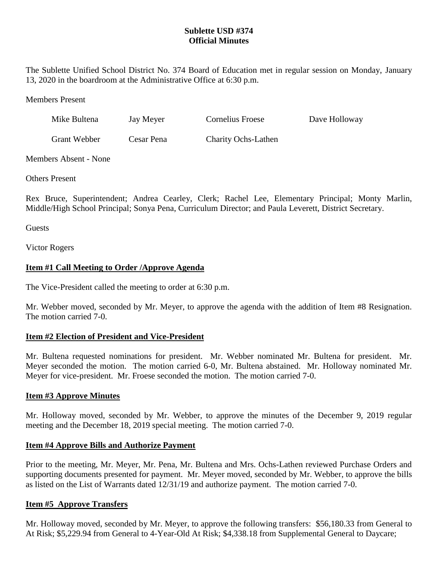### **Sublette USD #374 Official Minutes**

The Sublette Unified School District No. 374 Board of Education met in regular session on Monday, January 13, 2020 in the boardroom at the Administrative Office at 6:30 p.m.

Members Present

| Mike Bultena | Jay Meyer  | Cornelius Froese    | Dave Holloway |
|--------------|------------|---------------------|---------------|
| Grant Webber | Cesar Pena | Charity Ochs-Lathen |               |

Members Absent - None

Others Present

Rex Bruce, Superintendent; Andrea Cearley, Clerk; Rachel Lee, Elementary Principal; Monty Marlin, Middle/High School Principal; Sonya Pena, Curriculum Director; and Paula Leverett, District Secretary.

Guests

Victor Rogers

### **Item #1 Call Meeting to Order /Approve Agenda**

The Vice-President called the meeting to order at 6:30 p.m.

Mr. Webber moved, seconded by Mr. Meyer, to approve the agenda with the addition of Item #8 Resignation. The motion carried 7-0.

### **Item #2 Election of President and Vice-President**

Mr. Bultena requested nominations for president. Mr. Webber nominated Mr. Bultena for president. Mr. Meyer seconded the motion. The motion carried 6-0, Mr. Bultena abstained. Mr. Holloway nominated Mr. Meyer for vice-president. Mr. Froese seconded the motion. The motion carried 7-0.

### **Item #3 Approve Minutes**

Mr. Holloway moved, seconded by Mr. Webber, to approve the minutes of the December 9, 2019 regular meeting and the December 18, 2019 special meeting. The motion carried 7-0.

### **Item #4 Approve Bills and Authorize Payment**

Prior to the meeting, Mr. Meyer, Mr. Pena, Mr. Bultena and Mrs. Ochs-Lathen reviewed Purchase Orders and supporting documents presented for payment. Mr. Meyer moved, seconded by Mr. Webber, to approve the bills as listed on the List of Warrants dated 12/31/19 and authorize payment. The motion carried 7-0.

#### **Item #5 Approve Transfers**

Mr. Holloway moved, seconded by Mr. Meyer, to approve the following transfers: \$56,180.33 from General to At Risk; \$5,229.94 from General to 4-Year-Old At Risk; \$4,338.18 from Supplemental General to Daycare;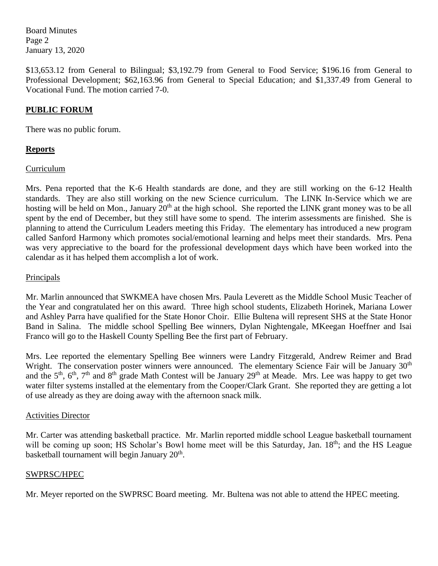Board Minutes Page 2 January 13, 2020

\$13,653.12 from General to Bilingual; \$3,192.79 from General to Food Service; \$196.16 from General to Professional Development; \$62,163.96 from General to Special Education; and \$1,337.49 from General to Vocational Fund. The motion carried 7-0.

### **PUBLIC FORUM**

There was no public forum.

### **Reports**

### Curriculum

Mrs. Pena reported that the K-6 Health standards are done, and they are still working on the 6-12 Health standards. They are also still working on the new Science curriculum. The LINK In-Service which we are hosting will be held on Mon., January 20<sup>th</sup> at the high school. She reported the LINK grant money was to be all spent by the end of December, but they still have some to spend. The interim assessments are finished. She is planning to attend the Curriculum Leaders meeting this Friday. The elementary has introduced a new program called Sanford Harmony which promotes social/emotional learning and helps meet their standards. Mrs. Pena was very appreciative to the board for the professional development days which have been worked into the calendar as it has helped them accomplish a lot of work.

# Principals

Mr. Marlin announced that SWKMEA have chosen Mrs. Paula Leverett as the Middle School Music Teacher of the Year and congratulated her on this award. Three high school students, Elizabeth Horinek, Mariana Lower and Ashley Parra have qualified for the State Honor Choir. Ellie Bultena will represent SHS at the State Honor Band in Salina. The middle school Spelling Bee winners, Dylan Nightengale, MKeegan Hoeffner and Isai Franco will go to the Haskell County Spelling Bee the first part of February.

Mrs. Lee reported the elementary Spelling Bee winners were Landry Fitzgerald, Andrew Reimer and Brad Wright. The conservation poster winners were announced. The elementary Science Fair will be January 30<sup>th</sup> and the  $5<sup>th</sup>$ ,  $6<sup>th</sup>$ ,  $7<sup>th</sup>$  and  $8<sup>th</sup>$  grade Math Contest will be January  $29<sup>th</sup>$  at Meade. Mrs. Lee was happy to get two water filter systems installed at the elementary from the Cooper/Clark Grant. She reported they are getting a lot of use already as they are doing away with the afternoon snack milk.

### Activities Director

Mr. Carter was attending basketball practice. Mr. Marlin reported middle school League basketball tournament will be coming up soon; HS Scholar's Bowl home meet will be this Saturday, Jan. 18<sup>th</sup>; and the HS League basketball tournament will begin January 20<sup>th</sup>.

### SWPRSC/HPEC

Mr. Meyer reported on the SWPRSC Board meeting. Mr. Bultena was not able to attend the HPEC meeting.